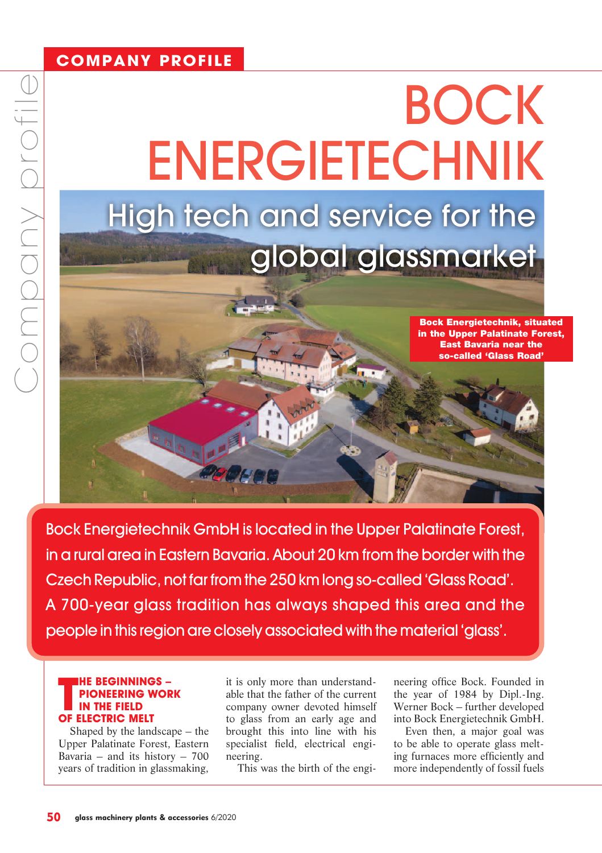## **COMPANY PROFILE**

# BOCK ENERGIETECHNIK High tech and service for the global glassmarket

Bock Energietechnik, situated in the Upper Palatinate Forest, East Bavaria near the so-called 'Glass Road'

Bock Energietechnik GmbH is located in the Upper Palatinate Forest, in a rural area in Eastern Bavaria. About 20 km from the border with the Czech Republic, not far from the 250 km long so-called 'Glass Road'. A 700-year glass tradition has always shaped this area and the people in this region are closely associated with the material 'glass'.

### **THE BEGINNING<br>PIONEERING W<br>OF ELECTRIC MELT HE BEGINNINGS – PIONEERING WORK IN THE FIELD**

Shaped by the landscape – the Upper Palatinate Forest, Eastern Bavaria – and its history –  $700$ years of tradition in glassmaking,

it is only more than understandable that the father of the current company owner devoted himself to glass from an early age and brought this into line with his specialist field, electrical engineering.

This was the birth of the engi-

neering office Bock. Founded in the year of 1984 by Dipl.-Ing. Werner Bock – further developed into Bock Energietechnik GmbH.

Even then, a major goal was to be able to operate glass melting furnaces more efficiently and more independently of fossil fuels